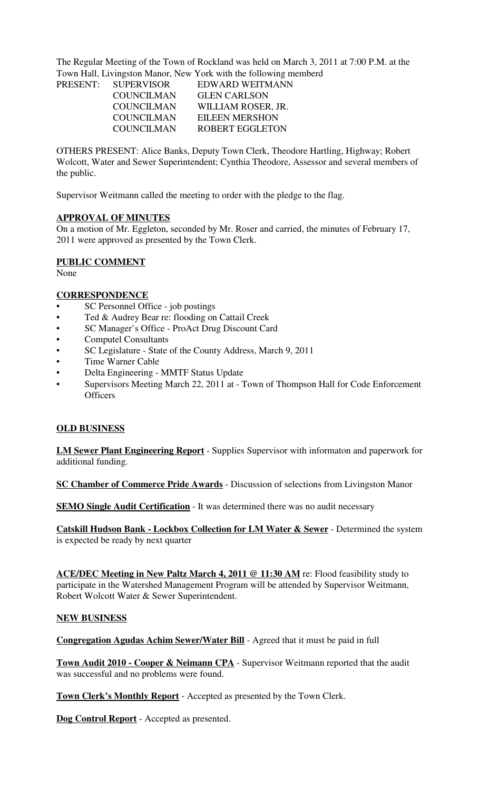The Regular Meeting of the Town of Rockland was held on March 3, 2011 at 7:00 P.M. at the Town Hall, Livingston Manor, New York with the following memberd

|                   | EDWARD WEITMANN       |
|-------------------|-----------------------|
| <b>COUNCILMAN</b> | <b>GLEN CARLSON</b>   |
| <b>COUNCILMAN</b> | WILLIAM ROSER, JR.    |
| <b>COUNCILMAN</b> | <b>EILEEN MERSHON</b> |
| <b>COUNCILMAN</b> | ROBERT EGGLETON       |
|                   | PRESENT: SUPERVISOR   |

OTHERS PRESENT: Alice Banks, Deputy Town Clerk, Theodore Hartling, Highway; Robert Wolcott, Water and Sewer Superintendent; Cynthia Theodore, Assessor and several members of the public.

Supervisor Weitmann called the meeting to order with the pledge to the flag.

### **APPROVAL OF MINUTES**

On a motion of Mr. Eggleton, seconded by Mr. Roser and carried, the minutes of February 17, 2011 were approved as presented by the Town Clerk.

## **PUBLIC COMMENT**

None

### **CORRESPONDENCE**

- SC Personnel Office job postings
- Ted & Audrey Bear re: flooding on Cattail Creek
- SC Manager's Office ProAct Drug Discount Card
- Computel Consultants
- SC Legislature State of the County Address, March 9, 2011
- Time Warner Cable
- Delta Engineering MMTF Status Update
- Supervisors Meeting March 22, 2011 at Town of Thompson Hall for Code Enforcement **Officers**

### **OLD BUSINESS**

**LM Sewer Plant Engineering Report** - Supplies Supervisor with informaton and paperwork for additional funding.

**SC Chamber of Commerce Pride Awards** - Discussion of selections from Livingston Manor

**SEMO Single Audit Certification** - It was determined there was no audit necessary

**Catskill Hudson Bank - Lockbox Collection for LM Water & Sewer** - Determined the system is expected be ready by next quarter

**ACE/DEC Meeting in New Paltz March 4, 2011 @ 11:30 AM** re: Flood feasibility study to participate in the Watershed Management Program will be attended by Supervisor Weitmann, Robert Wolcott Water & Sewer Superintendent.

### **NEW BUSINESS**

**Congregation Agudas Achim Sewer/Water Bill** - Agreed that it must be paid in full

**Town Audit 2010 - Cooper & Neimann CPA** - Supervisor Weitmann reported that the audit was successful and no problems were found.

**Town Clerk's Monthly Report** - Accepted as presented by the Town Clerk.

**Dog Control Report** - Accepted as presented.